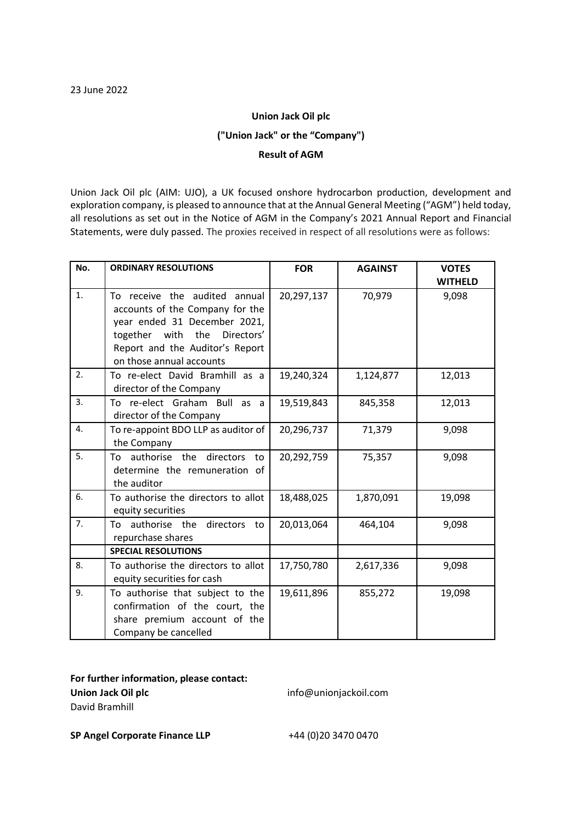## **Union Jack Oil plc ("Union Jack" or the "Company") Result of AGM**

Union Jack Oil plc (AIM: UJO), a UK focused onshore hydrocarbon production, development and exploration company, is pleased to announce that at the Annual General Meeting ("AGM") held today, all resolutions as set out in the Notice of AGM in the Company's 2021 Annual Report and Financial Statements, were duly passed. The proxies received in respect of all resolutions were as follows:

| No. | <b>ORDINARY RESOLUTIONS</b>                                                                                                                                                                        | <b>FOR</b> | <b>AGAINST</b> | <b>VOTES</b><br><b>WITHELD</b> |
|-----|----------------------------------------------------------------------------------------------------------------------------------------------------------------------------------------------------|------------|----------------|--------------------------------|
| 1.  | To receive the audited annual<br>accounts of the Company for the<br>year ended 31 December 2021,<br>together with the<br>Directors'<br>Report and the Auditor's Report<br>on those annual accounts | 20,297,137 | 70,979         | 9,098                          |
| 2.  | To re-elect David Bramhill as a<br>director of the Company                                                                                                                                         | 19,240,324 | 1,124,877      | 12,013                         |
| 3.  | To re-elect Graham Bull as a<br>director of the Company                                                                                                                                            | 19,519,843 | 845,358        | 12,013                         |
| 4.  | To re-appoint BDO LLP as auditor of<br>the Company                                                                                                                                                 | 20,296,737 | 71,379         | 9,098                          |
| 5.  | To authorise the directors<br>to<br>determine the remuneration of<br>the auditor                                                                                                                   | 20,292,759 | 75,357         | 9,098                          |
| 6.  | To authorise the directors to allot<br>equity securities                                                                                                                                           | 18,488,025 | 1,870,091      | 19,098                         |
| 7.  | authorise the directors<br>To<br>to<br>repurchase shares                                                                                                                                           | 20,013,064 | 464,104        | 9,098                          |
|     | <b>SPECIAL RESOLUTIONS</b>                                                                                                                                                                         |            |                |                                |
| 8.  | To authorise the directors to allot<br>equity securities for cash                                                                                                                                  | 17,750,780 | 2,617,336      | 9,098                          |
| 9.  | To authorise that subject to the<br>confirmation of the court, the<br>share premium account of the<br>Company be cancelled                                                                         | 19,611,896 | 855,272        | 19,098                         |

**For further information, please contact: Union Jack Oil plc** info@unionjackoil.com David Bramhill

**SP Angel Corporate Finance LLP** +44 (0)20 3470 0470